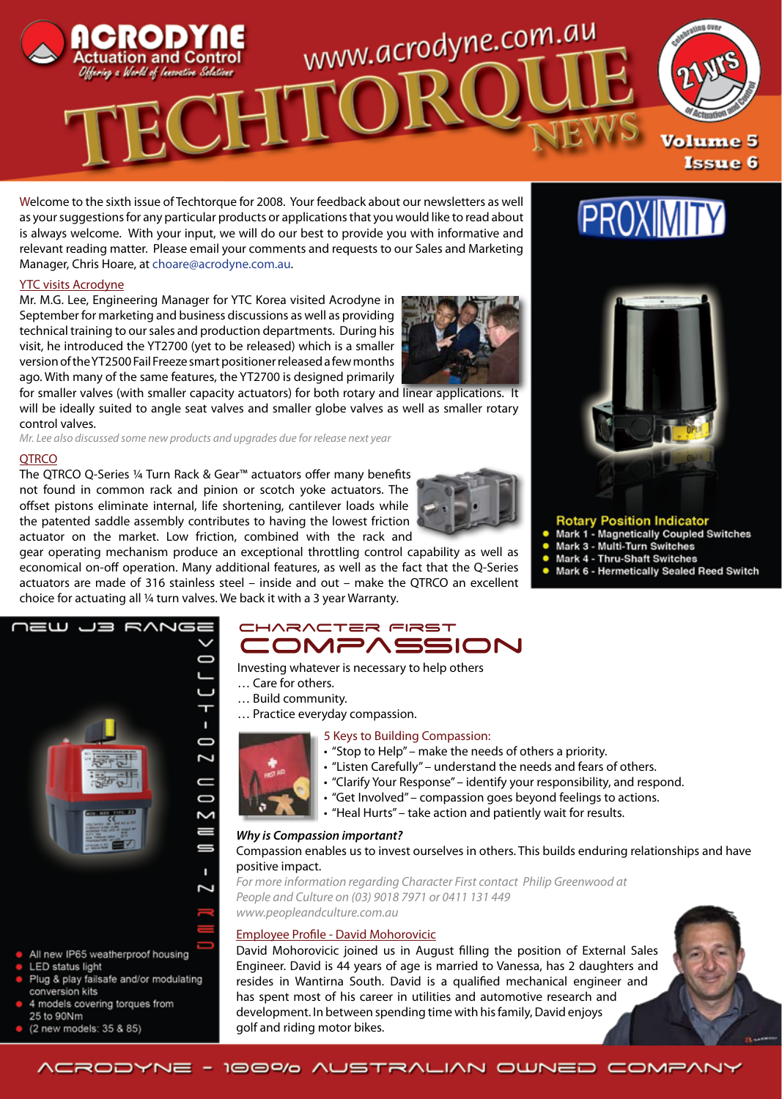

Welcome to the sixth issue of Techtorque for 2008. Your feedback about our newsletters as well as your suggestions for any particular products or applications that you would like to read about is always welcome. With your input, we will do our best to provide you with informative and relevant reading matter. Please email your comments and requests to our Sales and Marketing Manager, Chris Hoare, at choare@acrodyne.com.au.

# YTC visits Acrodyne

Mr. M.G. Lee, Engineering Manager for YTC Korea visited Acrodyne in September for marketing and business discussions as well as providing technical training to our sales and production departments. During his visit, he introduced the YT2700 (yet to be released) which is a smaller version of the YT2500 Fail Freeze smart positioner released a few months ago. With many of the same features, the YT2700 is designed primarily

for smaller valves (with smaller capacity actuators) for both rotary and linear applications. It will be ideally suited to angle seat valves and smaller globe valves as well as smaller rotary control valves.

*Mr. Lee also discussed some new products and upgrades due for release next year*

#### **OTRCO**

The QTRCO Q-Series ¼ Turn Rack & Gear™ actuators offer many benefits not found in common rack and pinion or scotch yoke actuators. The offset pistons eliminate internal, life shortening, cantilever loads while the patented saddle assembly contributes to having the lowest friction actuator on the market. Low friction, combined with the rack and

gear operating mechanism produce an exceptional throttling control capability as well as economical on-off operation. Many additional features, as well as the fact that the Q-Series actuators are made of 316 stainless steel – inside and out – make the QTRCO an excellent choice for actuating all ¼ turn valves. We back it with a 3 year Warranty.





**PROXIMIT** 

- **Rotary Position Indicator<br>Mark 1 Magnetically Coupled Switches**
- Mark 3 Multi-Turn Switches
- Mark 4 Thru-Shaft Switches
- Mark 6 Hermetically Sealed Reed Switch



- 4 models covering torques from 25 to 90Nm
- (2 new models: 35 & 85)

# CHARACTER FIRST Compassion

Investing whatever is necessary to help others

- … Care for others.
- … Build community.
- … Practice everyday compassion.

#### 5 Keys to Building Compassion:

- "Stop to Help" make the needs of others a priority.
- "Listen Carefully" understand the needs and fears of others.
- "Clarify Your Response" identify your responsibility, and respond.
- "Get Involved" compassion goes beyond feelings to actions.
- "Heal Hurts" take action and patiently wait for results.

#### *Why is Compassion important?*

Compassion enables us to invest ourselves in others. This builds enduring relationships and have positive impact.

*For more information regarding Character First contact Philip Greenwood at People and Culture on (03) 9018 7971 or 0411 131 449*

*www.peopleandculture.com.au*

# Employee Profile - David Mohorovicic

David Mohorovicic joined us in August filling the position of External Sales Engineer. David is 44 years of age is married to Vanessa, has 2 daughters and resides in Wantirna South. David is a qualified mechanical engineer and has spent most of his career in utilities and automotive research and development. In between spending time with his family, David enjoys golf and riding motor bikes.